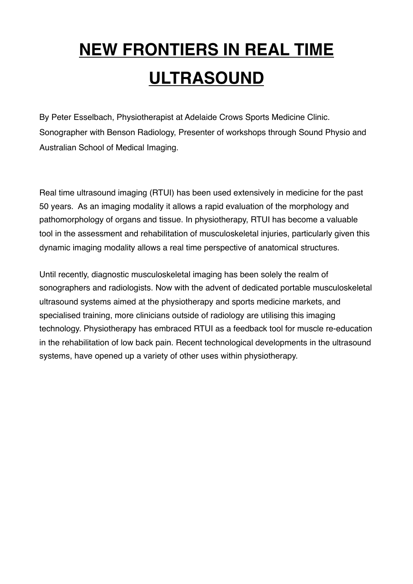# **NEW FRONTIERS IN REAL TIME ULTRASOUND**

By Peter Esselbach, Physiotherapist at Adelaide Crows Sports Medicine Clinic. Sonographer with Benson Radiology, Presenter of workshops through Sound Physio and Australian School of Medical Imaging.

Real time ultrasound imaging (RTUI) has been used extensively in medicine for the past 50 years. As an imaging modality it allows a rapid evaluation of the morphology and pathomorphology of organs and tissue. In physiotherapy, RTUI has become a valuable tool in the assessment and rehabilitation of musculoskeletal injuries, particularly given this dynamic imaging modality allows a real time perspective of anatomical structures.

Until recently, diagnostic musculoskeletal imaging has been solely the realm of sonographers and radiologists. Now with the advent of dedicated portable musculoskeletal ultrasound systems aimed at the physiotherapy and sports medicine markets, and specialised training, more clinicians outside of radiology are utilising this imaging technology. Physiotherapy has embraced RTUI as a feedback tool for muscle re-education in the rehabilitation of low back pain. Recent technological developments in the ultrasound systems, have opened up a variety of other uses within physiotherapy.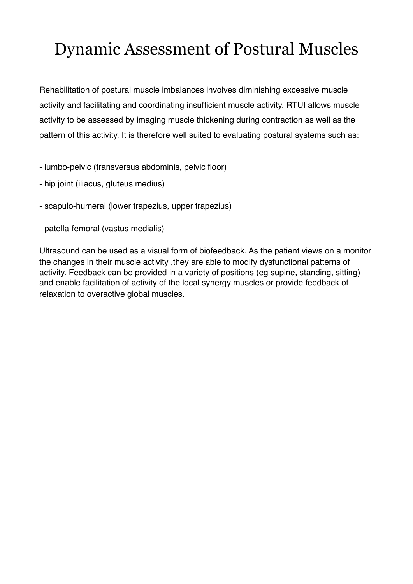## Dynamic Assessment of Postural Muscles

Rehabilitation of postural muscle imbalances involves diminishing excessive muscle activity and facilitating and coordinating insufficient muscle activity. RTUI allows muscle activity to be assessed by imaging muscle thickening during contraction as well as the pattern of this activity. It is therefore well suited to evaluating postural systems such as:

- lumbo-pelvic (transversus abdominis, pelvic floor)
- hip joint (iliacus, gluteus medius)
- scapulo-humeral (lower trapezius, upper trapezius)
- patella-femoral (vastus medialis)

Ultrasound can be used as a visual form of biofeedback. As the patient views on a monitor the changes in their muscle activity ,they are able to modify dysfunctional patterns of activity. Feedback can be provided in a variety of positions (eg supine, standing, sitting) and enable facilitation of activity of the local synergy muscles or provide feedback of relaxation to overactive global muscles.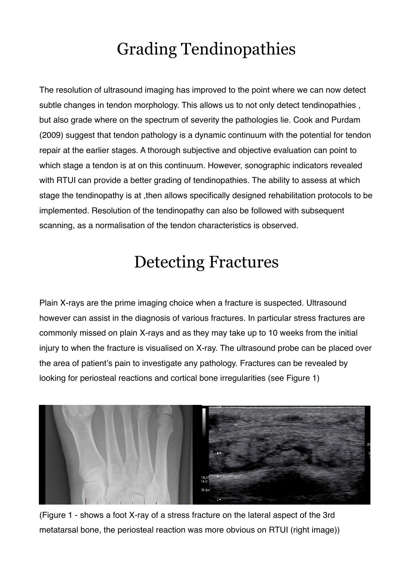# Grading Tendinopathies

The resolution of ultrasound imaging has improved to the point where we can now detect subtle changes in tendon morphology. This allows us to not only detect tendinopathies , but also grade where on the spectrum of severity the pathologies lie. Cook and Purdam (2009) suggest that tendon pathology is a dynamic continuum with the potential for tendon repair at the earlier stages. A thorough subjective and objective evaluation can point to which stage a tendon is at on this continuum. However, sonographic indicators revealed with RTUI can provide a better grading of tendinopathies. The ability to assess at which stage the tendinopathy is at ,then allows specifically designed rehabilitation protocols to be implemented. Resolution of the tendinopathy can also be followed with subsequent scanning, as a normalisation of the tendon characteristics is observed.

#### Detecting Fractures

Plain X-rays are the prime imaging choice when a fracture is suspected. Ultrasound however can assist in the diagnosis of various fractures. In particular stress fractures are commonly missed on plain X-rays and as they may take up to 10 weeks from the initial injury to when the fracture is visualised on X-ray. The ultrasound probe can be placed over the area of patient's pain to investigate any pathology. Fractures can be revealed by looking for periosteal reactions and cortical bone irregularities (see Figure 1)



(Figure 1 - shows a foot X-ray of a stress fracture on the lateral aspect of the 3rd metatarsal bone, the periosteal reaction was more obvious on RTUI (right image))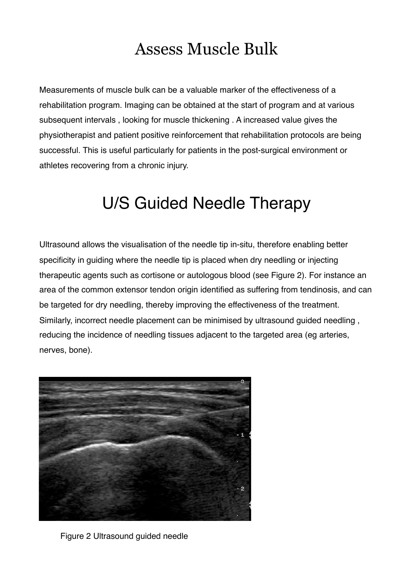#### Assess Muscle Bulk

Measurements of muscle bulk can be a valuable marker of the effectiveness of a rehabilitation program. Imaging can be obtained at the start of program and at various subsequent intervals , looking for muscle thickening . A increased value gives the physiotherapist and patient positive reinforcement that rehabilitation protocols are being successful. This is useful particularly for patients in the post-surgical environment or athletes recovering from a chronic injury.

#### U/S Guided Needle Therapy

Ultrasound allows the visualisation of the needle tip in-situ, therefore enabling better specificity in guiding where the needle tip is placed when dry needling or injecting therapeutic agents such as cortisone or autologous blood (see Figure 2). For instance an area of the common extensor tendon origin identified as suffering from tendinosis, and can be targeted for dry needling, thereby improving the effectiveness of the treatment. Similarly, incorrect needle placement can be minimised by ultrasound guided needling , reducing the incidence of needling tissues adjacent to the targeted area (eg arteries, nerves, bone).



Figure 2 Ultrasound guided needle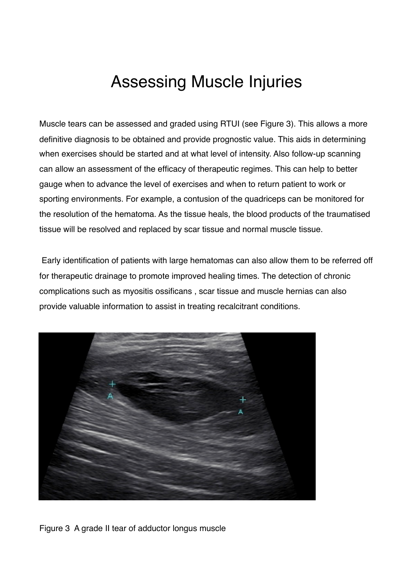#### Assessing Muscle Injuries

Muscle tears can be assessed and graded using RTUI (see Figure 3). This allows a more definitive diagnosis to be obtained and provide prognostic value. This aids in determining when exercises should be started and at what level of intensity. Also follow-up scanning can allow an assessment of the efficacy of therapeutic regimes. This can help to better gauge when to advance the level of exercises and when to return patient to work or sporting environments. For example, a contusion of the quadriceps can be monitored for the resolution of the hematoma. As the tissue heals, the blood products of the traumatised tissue will be resolved and replaced by scar tissue and normal muscle tissue.

 Early identification of patients with large hematomas can also allow them to be referred off for therapeutic drainage to promote improved healing times. The detection of chronic complications such as myositis ossificans , scar tissue and muscle hernias can also provide valuable information to assist in treating recalcitrant conditions.



Figure 3 A grade II tear of adductor longus muscle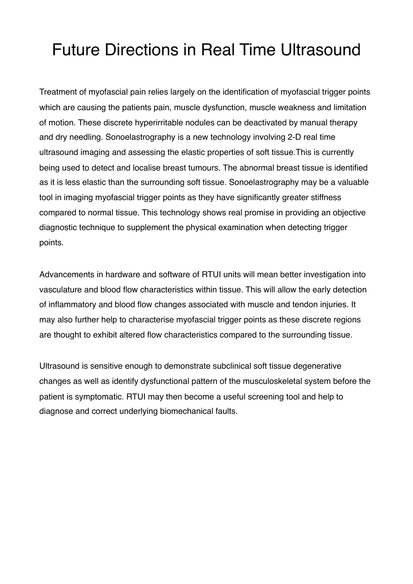### Future Directions in Real Time Ultrasound

Treatment of myofascial pain relies largely on the identification of myofascial trigger points which are causing the patients pain, muscle dysfunction, muscle weakness and limitation of motion. These discrete hyperirritable nodules can be deactivated by manual therapy and dry needling. Sonoelastrography is a new technology involving 2-D real time ultrasound imaging and assessing the elastic properties of soft tissue.This is currently being used to detect and localise breast tumours. The abnormal breast tissue is identified as it is less elastic than the surrounding soft tissue. Sonoelastrography may be a valuable tool in imaging myofascial trigger points as they have significantly greater stiffness compared to normal tissue. This technology shows real promise in providing an objective diagnostic technique to supplement the physical examination when detecting trigger points.

Advancements in hardware and software of RTUI units will mean better investigation into vasculature and blood flow characteristics within tissue. This will allow the early detection of inflammatory and blood flow changes associated with muscle and tendon injuries. It may also further help to characterise myofascial trigger points as these discrete regions are thought to exhibit altered flow characteristics compared to the surrounding tissue.

Ultrasound is sensitive enough to demonstrate subclinical soft tissue degenerative changes as well as identify dysfunctional pattern of the musculoskeletal system before the patient is symptomatic. RTUI may then become a useful screening tool and help to diagnose and correct underlying biomechanical faults.